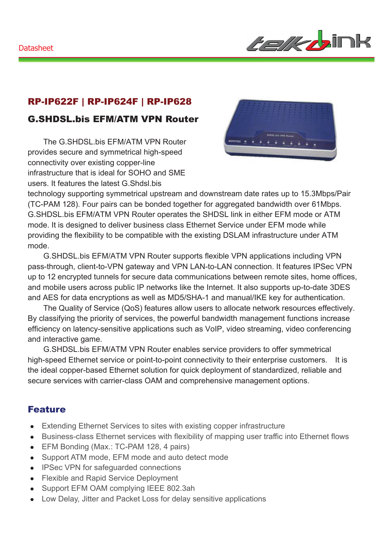

### RP-IP622F | RP-IP624F | RP-IP628

### G.SHDSL.bis EFM/ATM VPN Router

The G.SHDSL.bis EFM/ATM VPN Router provides secure and symmetrical high-speed connectivity over existing copper-line infrastructure that is ideal for SOHO and SME users. It features the latest G.Shdsl.bis



technology supporting symmetrical upstream and downstream date rates up to 15.3Mbps/Pair (TC-PAM 128). Four pairs can be bonded together for aggregated bandwidth over 61Mbps. G.SHDSL.bis EFM/ATM VPN Router operates the SHDSL link in either EFM mode or ATM mode. It is designed to deliver business class Ethernet Service under EFM mode while providing the flexibility to be compatible with the existing DSLAM infrastructure under ATM mode.

G.SHDSL.bis EFM/ATM VPN Router supports flexible VPN applications including VPN pass-through, client-to-VPN gateway and VPN LAN-to-LAN connection. It features IPSec VPN up to 12 encrypted tunnels for secure data communications between remote sites, home offices, and mobile users across public IP networks like the Internet. It also supports up-to-date 3DES and AES for data encryptions as well as MD5/SHA-1 and manual/IKE key for authentication.

The Quality of Service (QoS) features allow users to allocate network resources effectively. By classifying the priority of services, the powerful bandwidth management functions increase efficiency on latency-sensitive applications such as VoIP, video streaming, video conferencing and interactive game.

G.SHDSL.bis EFM/ATM VPN Router enables service providers to offer symmetrical high-speed Ethernet service or point-to-point connectivity to their enterprise customers. It is the ideal copper-based Ethernet solution for quick deployment of standardized, reliable and secure services with carrier-class OAM and comprehensive management options.

#### Feature

- Extending Ethernet Services to sites with existing copper infrastructure
- Business-class Ethernet services with flexibility of mapping user traffic into Ethernet flows
- EFM Bonding (Max.: TC-PAM 128, 4 pairs)
- Support ATM mode, EFM mode and auto detect mode
- IPSec VPN for safeguarded connections
- Flexible and Rapid Service Deployment
- Support EFM OAM complying IEEE 802.3ah
- Low Delay, Jitter and Packet Loss for delay sensitive applications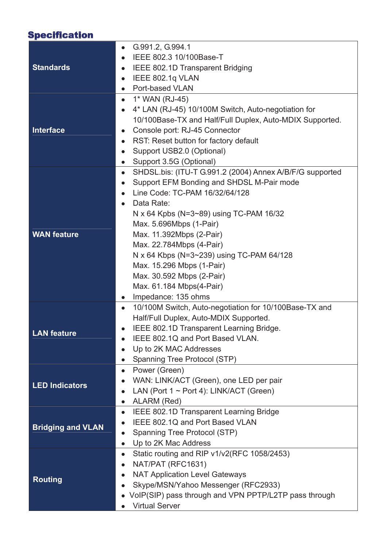# Specification

|                          | G.991.2, G.994.1                                                      |
|--------------------------|-----------------------------------------------------------------------|
|                          | IEEE 802.3 10/100Base-T                                               |
| <b>Standards</b>         | IEEE 802.1D Transparent Bridging<br>$\bullet$                         |
|                          | IEEE 802.1q VLAN                                                      |
|                          | Port-based VLAN<br>$\bullet$                                          |
|                          | 1* WAN (RJ-45)<br>$\bullet$                                           |
|                          | 4* LAN (RJ-45) 10/100M Switch, Auto-negotiation for<br>$\bullet$      |
|                          | 10/100Base-TX and Half/Full Duplex, Auto-MDIX Supported.              |
| <b>Interface</b>         | Console port: RJ-45 Connector<br>$\bullet$                            |
|                          | RST: Reset button for factory default<br>$\bullet$                    |
|                          | Support USB2.0 (Optional)                                             |
|                          | Support 3.5G (Optional)<br>$\bullet$                                  |
|                          | SHDSL.bis: (ITU-T G.991.2 (2004) Annex A/B/F/G supported<br>$\bullet$ |
|                          | Support EFM Bonding and SHDSL M-Pair mode                             |
|                          | Line Code: TC-PAM 16/32/64/128                                        |
|                          | Data Rate:                                                            |
|                          | N x 64 Kpbs (N= $3 \sim 89$ ) using TC-PAM 16/32                      |
|                          | Max. 5.696Mbps (1-Pair)                                               |
| <b>WAN feature</b>       | Max. 11.392Mbps (2-Pair)                                              |
|                          | Max. 22.784Mbps (4-Pair)                                              |
|                          | N x 64 Kbps (N=3~239) using TC-PAM 64/128                             |
|                          | Max. 15.296 Mbps (1-Pair)                                             |
|                          | Max. 30.592 Mbps (2-Pair)                                             |
|                          | Max. 61.184 Mbps(4-Pair)                                              |
|                          | Impedance: 135 ohms<br>$\bullet$                                      |
|                          | 10/100M Switch, Auto-negotiation for 10/100Base-TX and<br>$\bullet$   |
|                          | Half/Full Duplex, Auto-MDIX Supported.                                |
| <b>LAN</b> feature       | IEEE 802.1D Transparent Learning Bridge.                              |
|                          | IEEE 802.1Q and Port Based VLAN.                                      |
|                          | Up to 2K MAC Addresses                                                |
|                          | Spanning Tree Protocol (STP)<br>$\bullet$                             |
|                          | Power (Green)<br>$\bullet$                                            |
| <b>LED Indicators</b>    | WAN: LINK/ACT (Green), one LED per pair                               |
|                          | LAN (Port $1 \sim$ Port 4): LINK/ACT (Green)<br>$\bullet$             |
|                          | ALARM (Red)<br>$\bullet$                                              |
|                          | IEEE 802.1D Transparent Learning Bridge<br>$\bullet$                  |
| <b>Bridging and VLAN</b> | IEEE 802.1Q and Port Based VLAN                                       |
|                          | Spanning Tree Protocol (STP)                                          |
|                          | Up to 2K Mac Address<br>$\bullet$                                     |
|                          | Static routing and RIP v1/v2(RFC 1058/2453)<br>$\bullet$              |
|                          | NAT/PAT (RFC1631)<br>$\bullet$                                        |
| <b>Routing</b>           | <b>NAT Application Level Gateways</b>                                 |
|                          | Skype/MSN/Yahoo Messenger (RFC2933)                                   |
|                          | VoIP(SIP) pass through and VPN PPTP/L2TP pass through                 |
|                          | <b>Virtual Server</b>                                                 |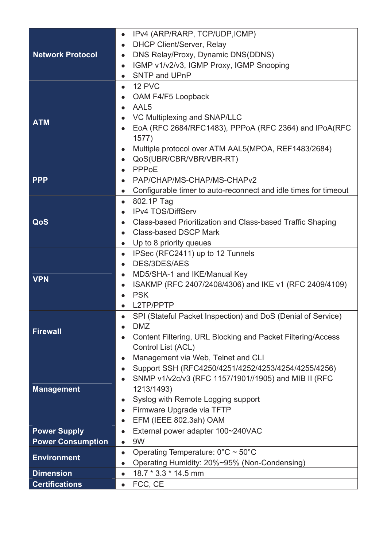|                          | IPv4 (ARP/RARP, TCP/UDP, ICMP)<br>$\bullet$                                  |
|--------------------------|------------------------------------------------------------------------------|
|                          | <b>DHCP Client/Server, Relay</b><br>$\bullet$                                |
| <b>Network Protocol</b>  | DNS Relay/Proxy, Dynamic DNS(DDNS)<br>$\bullet$                              |
|                          | IGMP v1/v2/v3, IGMP Proxy, IGMP Snooping<br>$\bullet$                        |
|                          | SNTP and UPnP<br>$\bullet$                                                   |
|                          | 12 PVC<br>$\bullet$                                                          |
|                          | OAM F4/F5 Loopback<br>$\bullet$                                              |
|                          | AAL <sub>5</sub><br>$\bullet$                                                |
|                          | VC Multiplexing and SNAP/LLC                                                 |
| <b>ATM</b>               | EoA (RFC 2684/RFC1483), PPPoA (RFC 2364) and IPoA(RFC                        |
|                          | 1577)                                                                        |
|                          | Multiple protocol over ATM AAL5(MPOA, REF1483/2684)                          |
|                          | QoS(UBR/CBR/VBR/VBR-RT)<br>$\bullet$                                         |
|                          | PPPoE<br>$\bullet$                                                           |
| <b>PPP</b>               | PAP/CHAP/MS-CHAP/MS-CHAPv2                                                   |
|                          | Configurable timer to auto-reconnect and idle times for timeout<br>$\bullet$ |
|                          | 802.1P Tag<br>$\bullet$                                                      |
|                          | <b>IPv4 TOS/DiffServ</b>                                                     |
| QoS                      | Class-based Prioritization and Class-based Traffic Shaping<br>$\bullet$      |
|                          | <b>Class-based DSCP Mark</b>                                                 |
|                          | Up to 8 priority queues<br>$\bullet$                                         |
|                          | IPSec (RFC2411) up to 12 Tunnels<br>$\bullet$                                |
|                          | DES/3DES/AES<br>$\bullet$                                                    |
|                          | MD5/SHA-1 and IKE/Manual Key<br>$\bullet$                                    |
| <b>VPN</b>               | ISAKMP (RFC 2407/2408/4306) and IKE v1 (RFC 2409/4109)<br>$\bullet$          |
|                          | <b>PSK</b><br>$\bullet$                                                      |
|                          | L2TP/PPTP                                                                    |
|                          | SPI (Stateful Packet Inspection) and DoS (Denial of Service)                 |
|                          | <b>DMZ</b>                                                                   |
| <b>Firewall</b>          | Content Filtering, URL Blocking and Packet Filtering/Access                  |
|                          | Control List (ACL)                                                           |
|                          | Management via Web, Telnet and CLI<br>$\bullet$                              |
|                          | Support SSH (RFC4250/4251/4252/4253/4254/4255/4256)<br>$\bullet$             |
|                          | SNMP v1/v2c/v3 (RFC 1157/1901//1905) and MIB II (RFC<br>$\bullet$            |
| <b>Management</b>        | 1213/1493)                                                                   |
|                          | Syslog with Remote Logging support<br>$\bullet$                              |
|                          | Firmware Upgrade via TFTP                                                    |
|                          | EFM (IEEE 802.3ah) OAM<br>$\bullet$                                          |
| <b>Power Supply</b>      | External power adapter 100~240VAC<br>$\bullet$                               |
| <b>Power Consumption</b> | 9W<br>$\bullet$                                                              |
|                          | Operating Temperature: $0^{\circ}$ C ~ 50°C<br>$\bullet$                     |
| <b>Environment</b>       | Operating Humidity: 20%~95% (Non-Condensing)<br>$\bullet$                    |
| <b>Dimension</b>         | 18.7 * 3.3 * 14.5 mm<br>$\bullet$                                            |
| <b>Certifications</b>    | FCC, CE<br>$\bullet$                                                         |